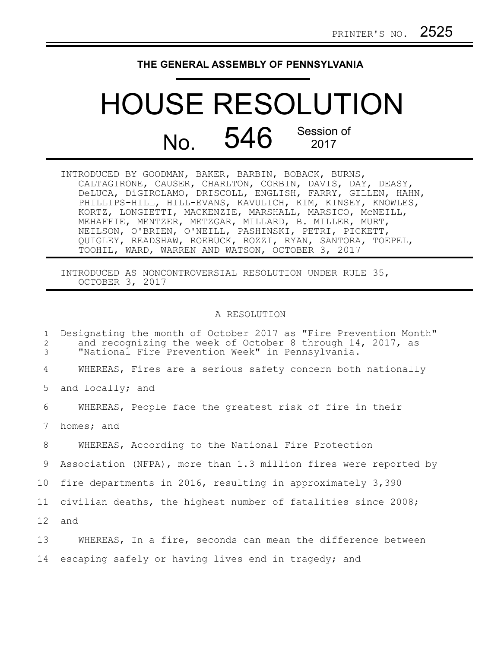## **THE GENERAL ASSEMBLY OF PENNSYLVANIA**

## HOUSE RESOLUTION No. 546 Session of

INTRODUCED BY GOODMAN, BAKER, BARBIN, BOBACK, BURNS, CALTAGIRONE, CAUSER, CHARLTON, CORBIN, DAVIS, DAY, DEASY, DeLUCA, DiGIROLAMO, DRISCOLL, ENGLISH, FARRY, GILLEN, HAHN, PHILLIPS-HILL, HILL-EVANS, KAVULICH, KIM, KINSEY, KNOWLES, KORTZ, LONGIETTI, MACKENZIE, MARSHALL, MARSICO, McNEILL, MEHAFFIE, MENTZER, METZGAR, MILLARD, B. MILLER, MURT, NEILSON, O'BRIEN, O'NEILL, PASHINSKI, PETRI, PICKETT, QUIGLEY, READSHAW, ROEBUCK, ROZZI, RYAN, SANTORA, TOEPEL, TOOHIL, WARD, WARREN AND WATSON, OCTOBER 3, 2017

INTRODUCED AS NONCONTROVERSIAL RESOLUTION UNDER RULE 35, OCTOBER 3, 2017

## A RESOLUTION

| $\mathbf{1}$<br>2<br>3 | Designating the month of October 2017 as "Fire Prevention Month"<br>and recognizing the week of October 8 through 14, 2017, as<br>"National Fire Prevention Week" in Pennsylvania. |
|------------------------|------------------------------------------------------------------------------------------------------------------------------------------------------------------------------------|
| 4                      | WHEREAS, Fires are a serious safety concern both nationally                                                                                                                        |
| 5                      | and locally; and                                                                                                                                                                   |
| 6                      | WHEREAS, People face the greatest risk of fire in their                                                                                                                            |
| 7                      | homes; and                                                                                                                                                                         |
| 8                      | WHEREAS, According to the National Fire Protection                                                                                                                                 |
| 9                      | Association (NFPA), more than 1.3 million fires were reported by                                                                                                                   |
| 10                     | fire departments in 2016, resulting in approximately 3,390                                                                                                                         |
| 11                     | civilian deaths, the highest number of fatalities since 2008;                                                                                                                      |
| 12 <sup>°</sup>        | and                                                                                                                                                                                |
| 13                     | WHEREAS, In a fire, seconds can mean the difference between                                                                                                                        |
| 14                     | escaping safely or having lives end in tragedy; and                                                                                                                                |